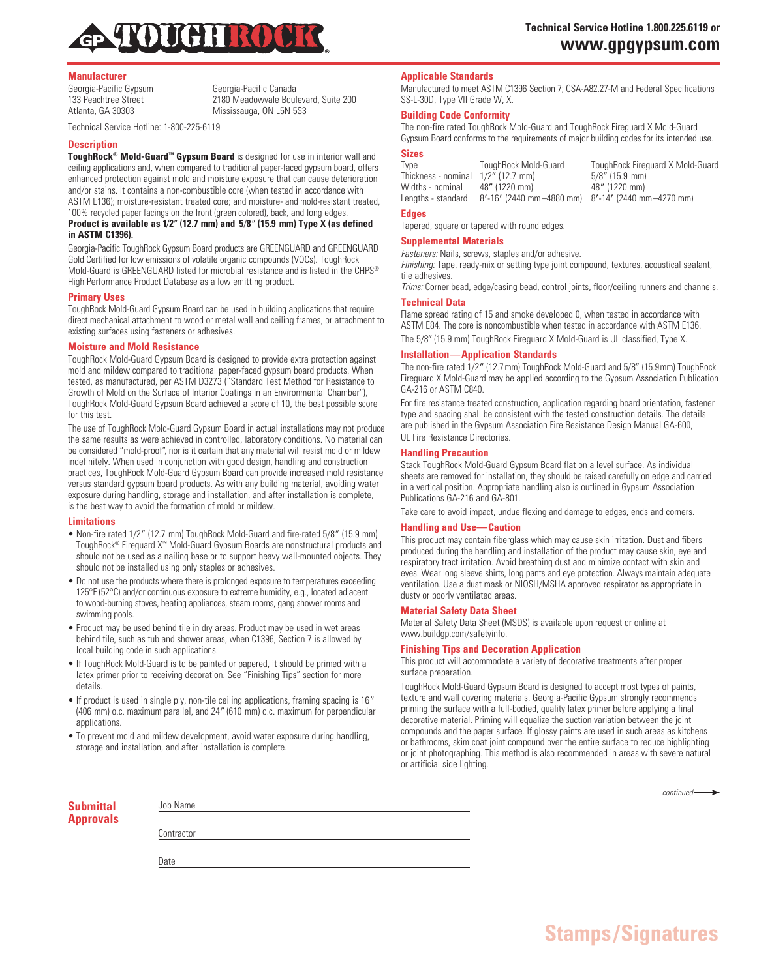

## **Manufacturer**

Georgia-Pacific Gypsum<br>133 Peachtree Street (1898) 2180 Meadowyale Boul 133 Peachtree Street 2180 Meadowvale Boulevard, Suite 200<br>Atlanta, GA 30303 Mississauga, ON L5N 5S3 Mississauga, ON L5N 5S3

Technical Service Hotline: 1-800-225-6119

### **Description**

**ToughRock® Mold-Guard™ Gypsum Board** is designed for use in interior wall and ceiling applications and, when compared to traditional paper-faced gypsum board, offers enhanced protection against mold and moisture exposure that can cause deterioration and/or stains. It contains a non-combustible core (when tested in accordance with ASTM E136); moisture-resistant treated core; and moisture- and mold-resistant treated, 100% recycled paper facings on the front (green colored), back, and long edges.

## **Product is available as 1⁄2**9 **(12.7 mm) and 5⁄8**9 **(15.9 mm) Type X (as defined in ASTM C1396).**

Georgia-Pacific ToughRock Gypsum Board products are GREENGUARD and GREENGUARD Gold Certified for low emissions of volatile organic compounds (VOCs). ToughRock Mold-Guard is GREENGUARD listed for microbial resistance and is listed in the CHPS® High Performance Product Database as a low emitting product.

## **Primary Uses**

ToughRock Mold-Guard Gypsum Board can be used in building applications that require direct mechanical attachment to wood or metal wall and ceiling frames, or attachment to existing surfaces using fasteners or adhesives.

#### **Moisture and Mold Resistance**

ToughRock Mold-Guard Gypsum Board is designed to provide extra protection against mold and mildew compared to traditional paper-faced gypsum board products. When tested, as manufactured, per ASTM D3273 ("Standard Test Method for Resistance to Growth of Mold on the Surface of Interior Coatings in an Environmental Chamber"), ToughRock Mold-Guard Gypsum Board achieved a score of 10, the best possible score for this test.

The use of ToughRock Mold-Guard Gypsum Board in actual installations may not produce the same results as were achieved in controlled, laboratory conditions. No material can be considered "mold-proof", nor is it certain that any material will resist mold or mildew indefinitely. When used in conjunction with good design, handling and construction practices, ToughRock Mold-Guard Gypsum Board can provide increased mold resistance versus standard gypsum board products. As with any building material, avoiding water exposure during handling, storage and installation, and after installation is complete, is the best way to avoid the formation of mold or mildew.

#### **Limitations**

- Non-fire rated 1/2" (12.7 mm) ToughRock Mold-Guard and fire-rated 5/8" (15.9 mm) ToughRock® Fireguard X™ Mold-Guard Gypsum Boards are nonstructural products and should not be used as a nailing base or to support heavy wall-mounted objects. They should not be installed using only staples or adhesives.
- Do not use the products where there is prolonged exposure to temperatures exceeding 125°F (52°C) and/or continuous exposure to extreme humidity, e.g., located adjacent to wood-burning stoves, heating appliances, steam rooms, gang shower rooms and swimming pools.
- Product may be used behind tile in dry areas. Product may be used in wet areas behind tile, such as tub and shower areas, when C1396, Section 7 is allowed by local building code in such applications.
- If ToughRock Mold-Guard is to be painted or papered, it should be primed with a latex primer prior to receiving decoration. See "Finishing Tips" section for more details.
- If product is used in single ply, non-tile ceiling applications, framing spacing is 16" (406 mm) o.c. maximum parallel, and 24" (610 mm) o.c. maximum for perpendicular applications.
- To prevent mold and mildew development, avoid water exposure during handling, storage and installation, and after installation is complete.

## **Applicable Standards**

Manufactured to meet ASTM C1396 Section 7; CSA-A82.27-M and Federal Specifications SS-L-30D, Type VII Grade W, X.

## **Building Code Conformity**

The non-fire rated ToughRock Mold-Guard and ToughRock Fireguard X Mold-Guard Gypsum Board conforms to the requirements of major building codes for its intended use.

## **Sizes**

| Type                | TouahRock Mold-Guard                              | ToughRock Fireguard X Mold-Guard |
|---------------------|---------------------------------------------------|----------------------------------|
| Thickness - nominal | $1/2$ " (12.7 mm)                                 | $5/8$ " (15.9 mm)                |
| Widths - nominal    | 48" (1220 mm)                                     | 48" (1220 mm)                    |
| Lengths - standard  | 8'-16' (2440 mm-4880 mm) 8'-14' (2440 mm-4270 mm) |                                  |

#### **Edges**

Tapered, square or tapered with round edges.

# **Supplemental Materials**

*Fasteners:* Nails, screws, staples and/or adhesive.

*Finishing:* Tape, ready-mix or setting type joint compound, textures, acoustical sealant, tile adhesives.

*Trims:* Corner bead, edge/casing bead, control joints, floor/ceiling runners and channels. **Technical Data**

Flame spread rating of 15 and smoke developed 0, when tested in accordance with ASTM E84. The core is noncombustible when tested in accordance with ASTM E136.

The 5/8" (15.9 mm) ToughRock Fireguard X Mold-Guard is UL classified, Type X.

## **Installation—Application Standards**

The non-fire rated 1/2" (12.7mm) ToughRock Mold-Guard and 5/8" (15.9mm) ToughRock Fireguard X Mold-Guard may be applied according to the Gypsum Association Publication GA-216 or ASTM C840.

For fire resistance treated construction, application regarding board orientation, fastener type and spacing shall be consistent with the tested construction details. The details are published in the Gypsum Association Fire Resistance Design Manual GA-600, UL Fire Resistance Directories.

## **Handling Precaution**

Stack ToughRock Mold-Guard Gypsum Board flat on a level surface. As individual sheets are removed for installation, they should be raised carefully on edge and carried in a vertical position. Appropriate handling also is outlined in Gypsum Association Publications GA-216 and GA-801.

Take care to avoid impact, undue flexing and damage to edges, ends and corners.

## **Handling and Use—Caution**

This product may contain fiberglass which may cause skin irritation. Dust and fibers produced during the handling and installation of the product may cause skin, eye and respiratory tract irritation. Avoid breathing dust and minimize contact with skin and eyes. Wear long sleeve shirts, long pants and eye protection. Always maintain adequate ventilation. Use a dust mask or NIOSH/MSHA approved respirator as appropriate in dusty or poorly ventilated areas.

#### **Material Safety Data Sheet**

Material Safety Data Sheet (MSDS) is available upon request or online at www.buildgp.com/safetyinfo.

#### **Finishing Tips and Decoration Application**

This product will accommodate a variety of decorative treatments after proper surface preparation.

ToughRock Mold-Guard Gypsum Board is designed to accept most types of paints, texture and wall covering materials. Georgia-Pacific Gypsum strongly recommends priming the surface with a full-bodied, quality latex primer before applying a final decorative material. Priming will equalize the suction variation between the joint compounds and the paper surface. If glossy paints are used in such areas as kitchens or bathrooms, skim coat joint compound over the entire surface to reduce highlighting or joint photographing. This method is also recommended in areas with severe natural or artificial side lighting.

**Stamps/Signatures**

|                        |            | $continued \longrightarrow$ |
|------------------------|------------|-----------------------------|
|                        | Job Name   |                             |
| Submittal<br>Approvals |            |                             |
|                        | Contractor |                             |
|                        |            |                             |
|                        | Date       |                             |